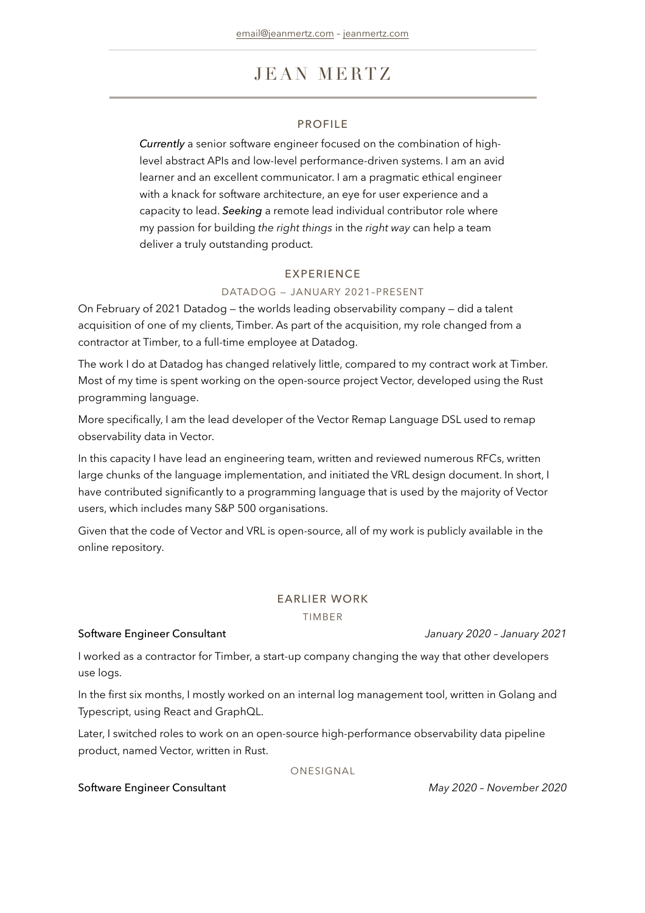# JEAN MERTZ

### PROFILE

*Currently* a senior software engineer focused on the combination of highlevel abstract APIs and low-level performance-driven systems. I am an avid learner and an excellent communicator. I am a pragmatic ethical engineer with a knack for software architecture, an eye for user experience and a capacity to lead. *Seeking* a remote lead individual contributor role where my passion for building *the right things* in the *right way* can help a team deliver a truly outstanding product.

### EXPERIENCE

### DATADOG — JANUARY 2021–PRESENT

On February of 2021 Datadog — the worlds leading observability company — did a talent acquisition of one of my clients, Timber. As part of the acquisition, my role changed from a contractor at Timber, to a full-time employee at Datadog.

The work I do at Datadog has changed relatively little, compared to my contract work at Timber. Most of my time is spent working on the open-source project Vector, developed using the Rust programming language.

More specifically, I am the lead developer of the Vector Remap Language DSL used to remap observability data in Vector.

In this capacity I have lead an engineering team, written and reviewed numerous RFCs, written large chunks of the language implementation, and initiated the VRL design document. In short, I have contributed significantly to a programming language that is used by the majority of Vector users, which includes many S&P 500 organisations.

Given that the code of Vector and VRL is open-source, all of my work is publicly available in the online repository.

### EARLIER WORK

TIMBER

### Software Engineer Consultant *January 2020 – January 2021*

I worked as a contractor for Timber, a start-up company changing the way that other developers use logs.

In the first six months, I mostly worked on an internal log management tool, written in Golang and Typescript, using React and GraphQL.

Later, I switched roles to work on an open-source high-performance observability data pipeline product, named Vector, written in Rust.

ONESIGNAL

### Software Engineer Consultant *May 2020 – November 2020*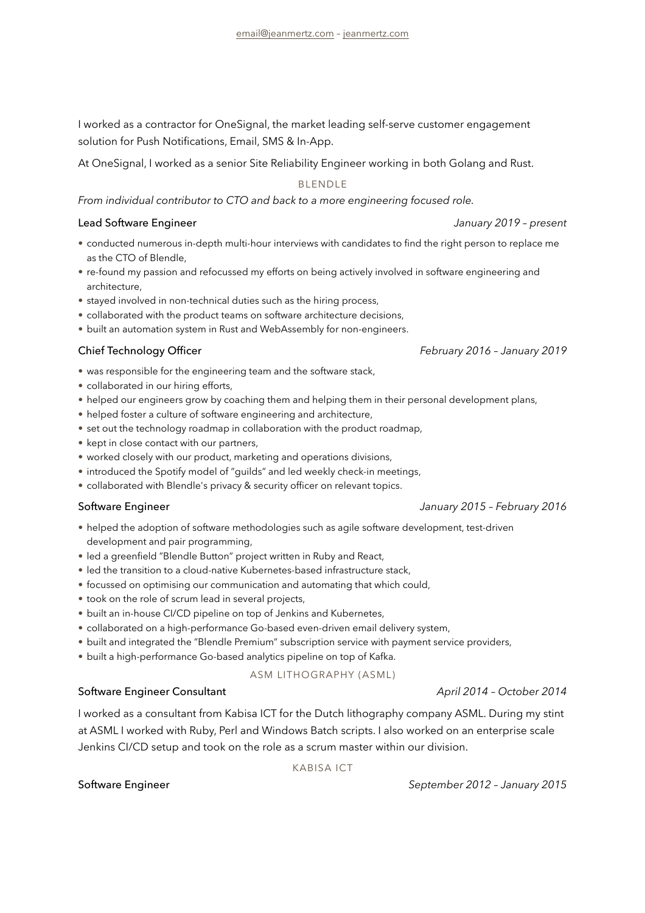I worked as a contractor for OneSignal, the market leading self-serve customer engagement solution for Push Notifications, Email, SMS & In-App.

At OneSignal, I worked as a senior Site Reliability Engineer working in both Golang and Rust.

BLENDLE

*From individual contributor to CTO and back to a more engineering focused role.*

### Lead Software Engineer *January 2019 – present*

- conducted numerous in-depth multi-hour interviews with candidates to find the right person to replace me as the CTO of Blendle,
- re-found my passion and refocussed my efforts on being actively involved in software engineering and architecture,
- stayed involved in non-technical duties such as the hiring process,
- collaborated with the product teams on software architecture decisions,
- built an automation system in Rust and WebAssembly for non-engineers.

### Chief Technology Officer *February 2016 – January 2019*

- was responsible for the engineering team and the software stack,
- collaborated in our hiring efforts,
- helped our engineers grow by coaching them and helping them in their personal development plans,
- helped foster a culture of software engineering and architecture,
- set out the technology roadmap in collaboration with the product roadmap,
- kept in close contact with our partners,
- worked closely with our product, marketing and operations divisions,
- introduced the Spotify model of "guilds" and led weekly check-in meetings,
- collaborated with Blendle's privacy & security officer on relevant topics.

- helped the adoption of software methodologies such as agile software development, test-driven development and pair programming,
- led a greenfield "Blendle Button" project written in Ruby and React,
- led the transition to a cloud-native Kubernetes-based infrastructure stack,
- focussed on optimising our communication and automating that which could,
- took on the role of scrum lead in several projects,
- built an in-house CI/CD pipeline on top of Jenkins and Kubernetes,
- collaborated on a high-performance Go-based even-driven email delivery system,
- built and integrated the "Blendle Premium" subscription service with payment service providers,
- built a high-performance Go-based analytics pipeline on top of Kafka.

### ASM LITHOGRAPHY (ASML)

### Software Engineer Consultant *April 2014 – October 2014*

I worked as a consultant from Kabisa ICT for the Dutch lithography company ASML. During my stint at ASML I worked with Ruby, Perl and Windows Batch scripts. I also worked on an enterprise scale Jenkins CI/CD setup and took on the role as a scrum master within our division.

### KABISA ICT

Software Engineer *September 2012 – January 2015*

### Software Engineer *January 2015 – February 2016*